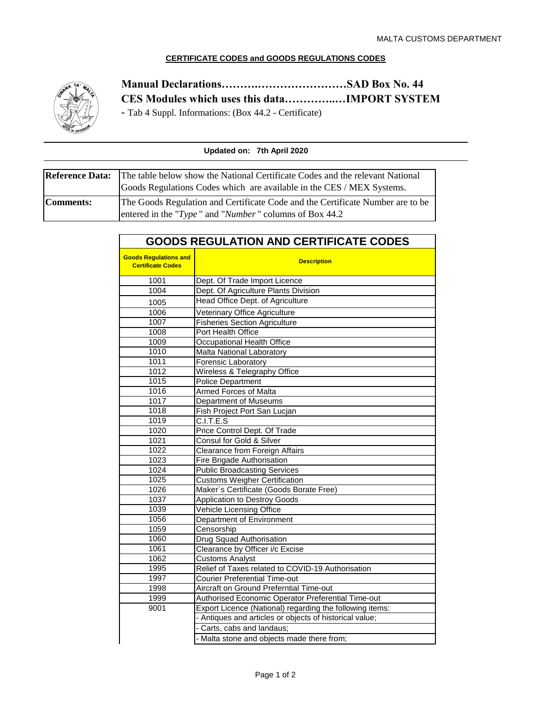## **CERTIFICATE CODES and GOODS REGULATIONS CODES**



## **Manual Declarations……….……………………SAD Box No. 44 CES Modules which uses this data…………..…IMPORT SYSTEM**

- Tab 4 Suppl. Informations: (Box 44.2 - Certificate)

| Updated on: 7th April 2020 |                                                                                                                                                                               |  |
|----------------------------|-------------------------------------------------------------------------------------------------------------------------------------------------------------------------------|--|
|                            | <b>Reference Data:</b> The table below show the National Certificate Codes and the relevant National<br>Goods Regulations Codes which are available in the CES / MEX Systems. |  |
| <b>Comments:</b>           | The Goods Regulation and Certificate Code and the Certificate Number are to be<br>entered in the "Type" and "Number" columns of Box 44.2                                      |  |

## **GOODS REGULATION AND CERTIFICATE CODES**

| <b>Goods Regulations and</b><br><b>Certificate Codes</b> | <b>Description</b>                                       |
|----------------------------------------------------------|----------------------------------------------------------|
| 1001                                                     | Dept. Of Trade Import Licence                            |
| 1004                                                     | Dept. Of Agriculture Plants Division                     |
| 1005                                                     | Head Office Dept. of Agriculture                         |
| 1006                                                     | Veterinary Office Agriculture                            |
| 1007                                                     | <b>Fisheries Section Agriculture</b>                     |
| 1008                                                     | Port Health Office                                       |
| 1009                                                     | Occupational Health Office                               |
| 1010                                                     | Malta National Laboratory                                |
| 1011                                                     | Forensic Laboratory                                      |
| 1012                                                     | Wireless & Telegraphy Office                             |
| 1015                                                     | <b>Police Department</b>                                 |
| 1016                                                     | <b>Armed Forces of Malta</b>                             |
| 1017                                                     | <b>Department of Museums</b>                             |
| 1018                                                     | Fish Project Port San Lucjan                             |
| 1019                                                     | C.I.T.E.S                                                |
| 1020                                                     | Price Control Dept. Of Trade                             |
| 1021                                                     | Consul for Gold & Silver                                 |
| 1022                                                     | Clearance from Foreign Affairs                           |
| 1023                                                     | Fire Brigade Authorisation                               |
| 1024                                                     | <b>Public Broadcasting Services</b>                      |
| 1025                                                     | <b>Customs Weigher Certification</b>                     |
| 1026                                                     | Maker's Certificate (Goods Borate Free)                  |
| 1037                                                     | <b>Application to Destroy Goods</b>                      |
| 1039                                                     | Vehicle Licensing Office                                 |
| 1056                                                     | Department of Environment                                |
| 1059                                                     | Censorship                                               |
| 1060                                                     | Drug Squad Authorisation                                 |
| 1061                                                     | Clearance by Officer i/c Excise                          |
| 1062                                                     | <b>Customs Analyst</b>                                   |
| 1995                                                     | Relief of Taxes related to COVID-19 Authorisation        |
| 1997                                                     | <b>Courier Preferential Time-out</b>                     |
| 1998                                                     | Aircraft on Ground Preferntial Time-out                  |
| 1999                                                     | Authorised Economic Operator Preferential Time-out       |
| 9001                                                     | Export Licence (National) regarding the following items: |
|                                                          | - Antiques and articles or objects of historical value;  |
|                                                          | - Carts, cabs and landaus;                               |
|                                                          | - Malta stone and objects made there from;               |